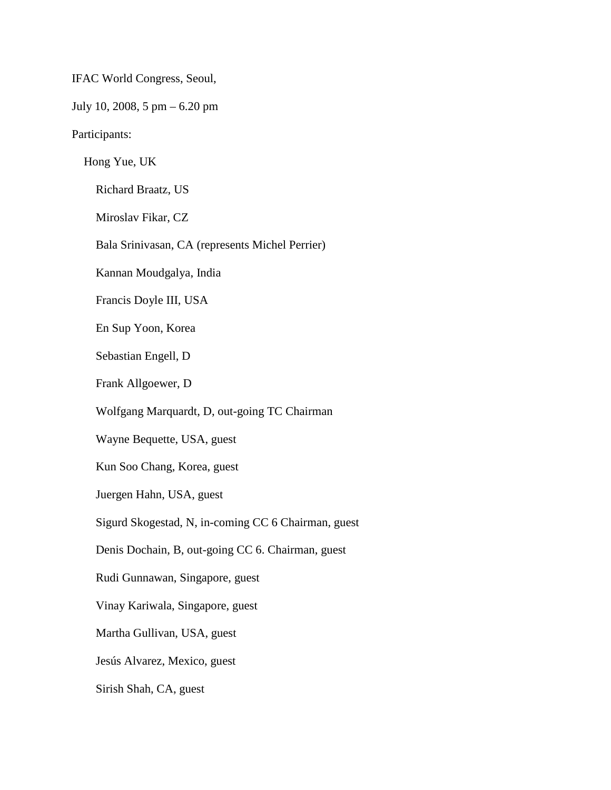IFAC World Congress, Seoul,

July 10, 2008, 5 pm – 6.20 pm

Participants:

Hong Yue, UK

Richard Braatz, US

Miroslav Fikar, CZ

Bala Srinivasan, CA (represents Michel Perrier)

Kannan Moudgalya, India

Francis Doyle III, USA

En Sup Yoon, Korea

Sebastian Engell, D

Frank Allgoewer, D

Wolfgang Marquardt, D, out-going TC Chairman

Wayne Bequette, USA, guest

Kun Soo Chang, Korea, guest

Juergen Hahn, USA, guest

Sigurd Skogestad, N, in-coming CC 6 Chairman, guest

Denis Dochain, B, out-going CC 6. Chairman, guest

Rudi Gunnawan, Singapore, guest

Vinay Kariwala, Singapore, guest

Martha Gullivan, USA, guest

Jesús Alvarez, Mexico, guest

Sirish Shah, CA, guest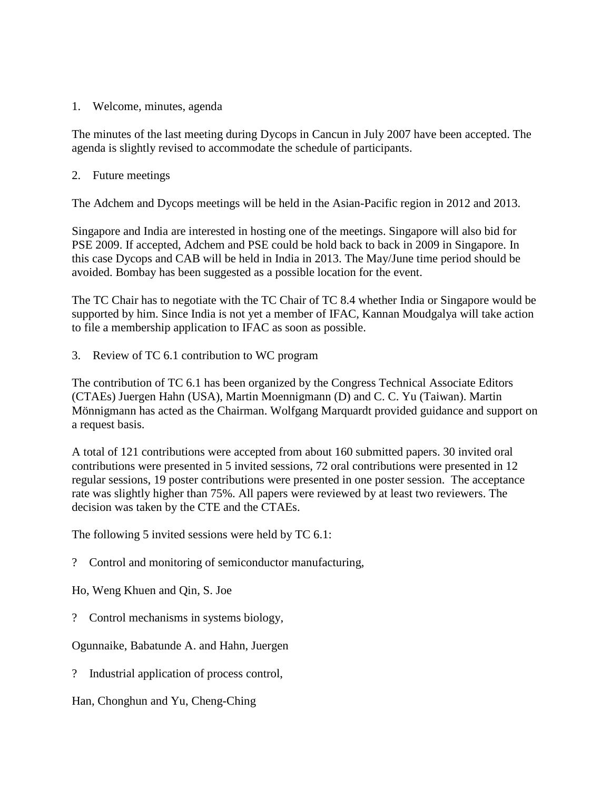1. Welcome, minutes, agenda

The minutes of the last meeting during Dycops in Cancun in July 2007 have been accepted. The agenda is slightly revised to accommodate the schedule of participants.

2. Future meetings

The Adchem and Dycops meetings will be held in the Asian-Pacific region in 2012 and 2013.

Singapore and India are interested in hosting one of the meetings. Singapore will also bid for PSE 2009. If accepted, Adchem and PSE could be hold back to back in 2009 in Singapore. In this case Dycops and CAB will be held in India in 2013. The May/June time period should be avoided. Bombay has been suggested as a possible location for the event.

The TC Chair has to negotiate with the TC Chair of TC 8.4 whether India or Singapore would be supported by him. Since India is not yet a member of IFAC, Kannan Moudgalya will take action to file a membership application to IFAC as soon as possible.

3. Review of TC 6.1 contribution to WC program

The contribution of TC 6.1 has been organized by the Congress Technical Associate Editors (CTAEs) Juergen Hahn (USA), Martin Moennigmann (D) and C. C. Yu (Taiwan). Martin Mönnigmann has acted as the Chairman. Wolfgang Marquardt provided guidance and support on a request basis.

A total of 121 contributions were accepted from about 160 submitted papers. 30 invited oral contributions were presented in 5 invited sessions, 72 oral contributions were presented in 12 regular sessions, 19 poster contributions were presented in one poster session. The acceptance rate was slightly higher than 75%. All papers were reviewed by at least two reviewers. The decision was taken by the CTE and the CTAEs.

The following 5 invited sessions were held by TC 6.1:

? Control and monitoring of semiconductor manufacturing,

Ho, Weng Khuen and Qin, S. Joe

? Control mechanisms in systems biology,

Ogunnaike, Babatunde A. and Hahn, Juergen

? Industrial application of process control,

Han, Chonghun and Yu, Cheng-Ching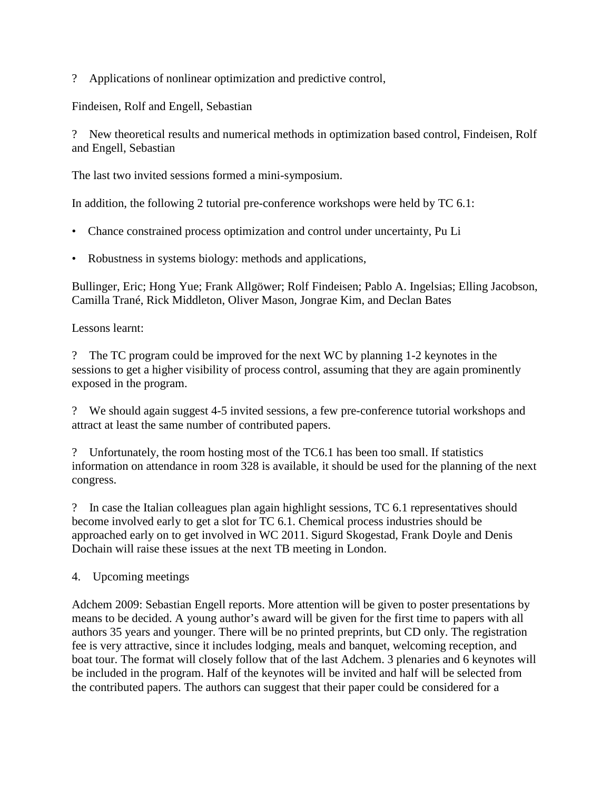? Applications of nonlinear optimization and predictive control,

Findeisen, Rolf and Engell, Sebastian

? New theoretical results and numerical methods in optimization based control, Findeisen, Rolf and Engell, Sebastian

The last two invited sessions formed a mini-symposium.

In addition, the following 2 tutorial pre-conference workshops were held by TC 6.1:

- Chance constrained process optimization and control under uncertainty, Pu Li
- Robustness in systems biology: methods and applications,

Bullinger, Eric; Hong Yue; Frank Allgöwer; Rolf Findeisen; Pablo A. Ingelsias; Elling Jacobson, Camilla Trané, Rick Middleton, Oliver Mason, Jongrae Kim, and Declan Bates

Lessons learnt:

? The TC program could be improved for the next WC by planning 1-2 keynotes in the sessions to get a higher visibility of process control, assuming that they are again prominently exposed in the program.

? We should again suggest 4-5 invited sessions, a few pre-conference tutorial workshops and attract at least the same number of contributed papers.

? Unfortunately, the room hosting most of the TC6.1 has been too small. If statistics information on attendance in room 328 is available, it should be used for the planning of the next congress.

? In case the Italian colleagues plan again highlight sessions, TC 6.1 representatives should become involved early to get a slot for TC 6.1. Chemical process industries should be approached early on to get involved in WC 2011. Sigurd Skogestad, Frank Doyle and Denis Dochain will raise these issues at the next TB meeting in London.

4. Upcoming meetings

Adchem 2009: Sebastian Engell reports. More attention will be given to poster presentations by means to be decided. A young author's award will be given for the first time to papers with all authors 35 years and younger. There will be no printed preprints, but CD only. The registration fee is very attractive, since it includes lodging, meals and banquet, welcoming reception, and boat tour. The format will closely follow that of the last Adchem. 3 plenaries and 6 keynotes will be included in the program. Half of the keynotes will be invited and half will be selected from the contributed papers. The authors can suggest that their paper could be considered for a